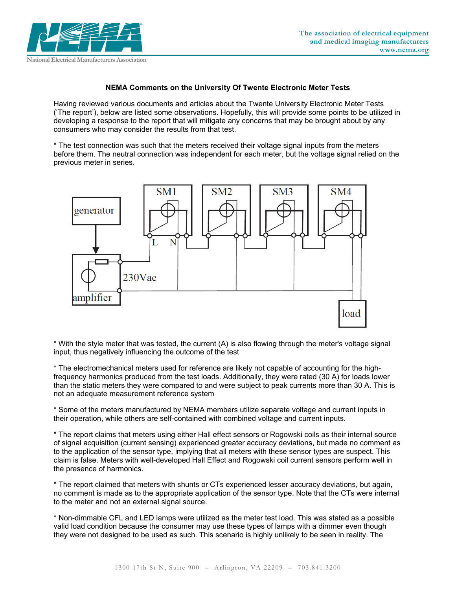

## **NEMA Comments on the University Of Twente Electronic Meter Tests**

Having reviewed various documents and articles about the Twente University Electronic Meter Tests ('The report'), below are listed some observations. Hopefully, this will provide some points to be utilized in developing a response to the report that will mitigate any concerns that may be brought about by any consumers who may consider the results from that test.

\* The test connection was such that the meters received their voltage signal inputs from the meters before them. The neutral connection was independent for each meter, but the voltage signal relied on the previous meter in series.



\* With the style meter that was tested, the current (A) is also flowing through the meter's voltage signal input, thus negatively influencing the outcome of the test

\* The electromechanical meters used for reference are likely not capable of accounting for the highfrequency harmonics produced from the test loads. Additionally, they were rated (30 A) for loads lower than the static meters they were compared to and were subject to peak currents more than 30 A. This is not an adequate measurement reference system

\* Some of the meters manufactured by NEMA members utilize separate voltage and current inputs in their operation, while others are self-contained with combined voltage and current inputs.

\* The report claims that meters using either Hall effect sensors or Rogowski coils as their internal source of signal acquisition (current sensing) experienced greater accuracy deviations, but made no comment as to the application of the sensor type, implying that all meters with these sensor types are suspect. This claim is false. Meters with well-developed Hall Effect and Rogowski coil current sensors perform well in the presence of harmonics.

\* The report claimed that meters with shunts or CTs experienced lesser accuracy deviations, but again, no comment is made as to the appropriate application of the sensor type. Note that the CTs were internal to the meter and not an external signal source.

\* Non-dimmable CFL and LED lamps were utilized as the meter test load. This was stated as a possible valid load condition because the consumer may use these types of lamps with a dimmer even though they were not designed to be used as such. This scenario is highly unlikely to be seen in reality. The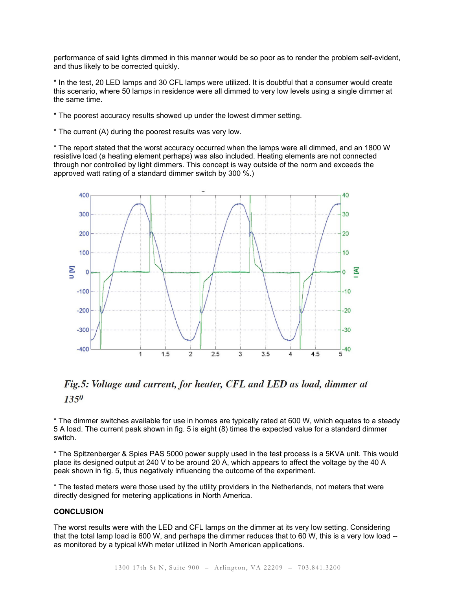performance of said lights dimmed in this manner would be so poor as to render the problem self-evident, and thus likely to be corrected quickly.

\* In the test, 20 LED lamps and 30 CFL lamps were utilized. It is doubtful that a consumer would create this scenario, where 50 lamps in residence were all dimmed to very low levels using a single dimmer at the same time.

- \* The poorest accuracy results showed up under the lowest dimmer setting.
- \* The current (A) during the poorest results was very low.

\* The report stated that the worst accuracy occurred when the lamps were all dimmed, and an 1800 W resistive load (a heating element perhaps) was also included. Heating elements are not connected through nor controlled by light dimmers. This concept is way outside of the norm and exceeds the approved watt rating of a standard dimmer switch by 300 %.)



## Fig.5: Voltage and current, for heater, CFL and LED as load, dimmer at  $13,50$

\* The dimmer switches available for use in homes are typically rated at 600 W, which equates to a steady 5 A load. The current peak shown in fig. 5 is eight (8) times the expected value for a standard dimmer switch.

\* The Spitzenberger & Spies PAS 5000 power supply used in the test process is a 5KVA unit. This would place its designed output at 240 V to be around 20 A, which appears to affect the voltage by the 40 A peak shown in fig. 5, thus negatively influencing the outcome of the experiment.

\* The tested meters were those used by the utility providers in the Netherlands, not meters that were directly designed for metering applications in North America.

## **CONCLUSION**

The worst results were with the LED and CFL lamps on the dimmer at its very low setting. Considering that the total lamp load is 600 W, and perhaps the dimmer reduces that to 60 W, this is a very low load - as monitored by a typical kWh meter utilized in North American applications.